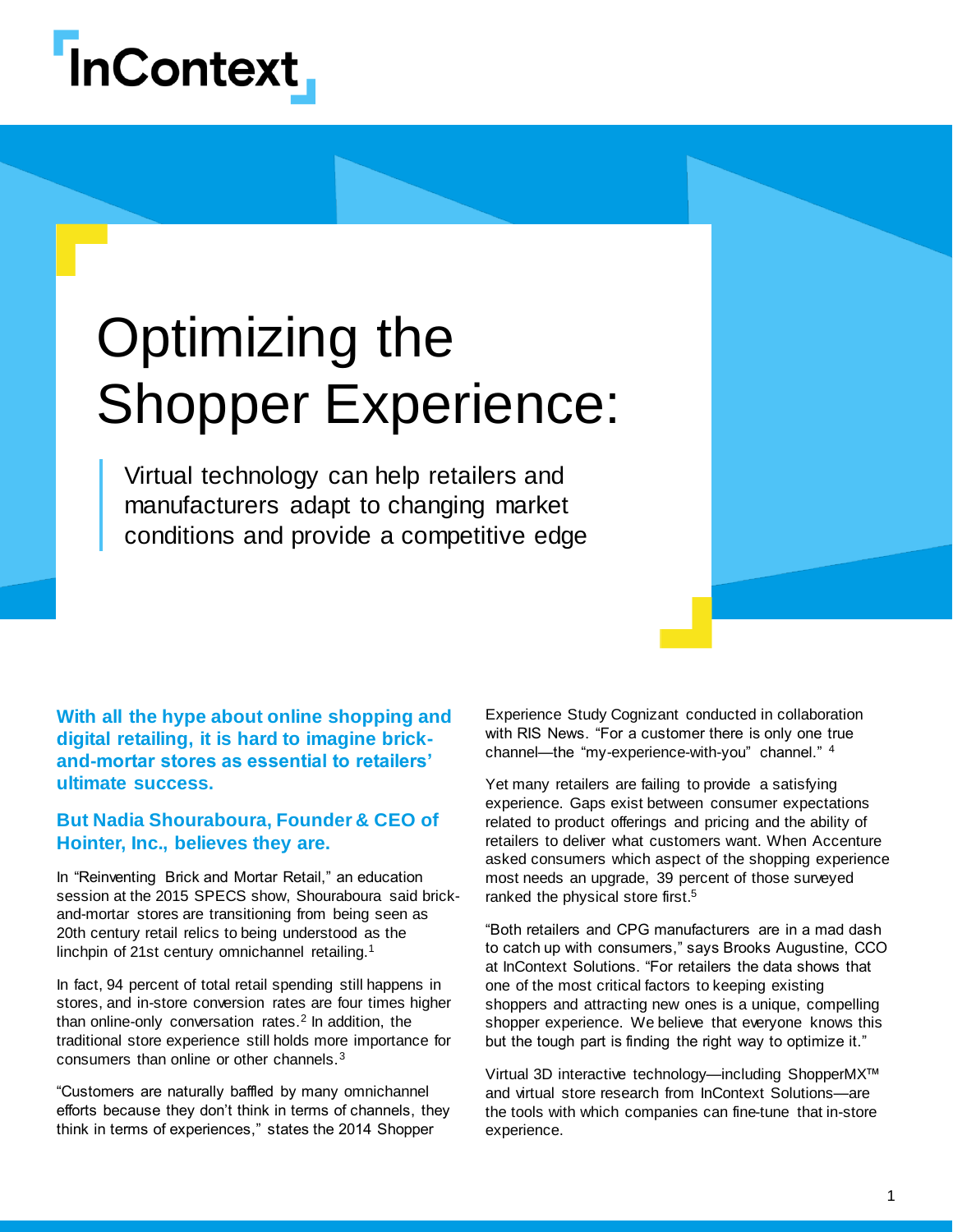# **InContext**

## Optimizing the Shopper Experience:

Virtual technology can help retailers and manufacturers adapt to changing market conditions and provide a competitive edge

**With all the hype about online shopping and digital retailing, it is hard to imagine brickand-mortar stores as essential to retailers' ultimate success.**

#### **But Nadia Shouraboura, Founder & CEO of Hointer, Inc., believes they are.**

In "Reinventing Brick and Mortar Retail," an education session at the 2015 SPECS show, Shouraboura said brickand-mortar stores are transitioning from being seen as 20th century retail relics to being understood as the linchpin of 21st century omnichannel retailing.<sup>1</sup>

In fact, 94 percent of total retail spending still happens in stores, and in-store conversion rates are four times higher than online-only conversation rates.<sup>2</sup> In addition, the traditional store experience still holds more importance for consumers than online or other channels.<sup>3</sup>

"Customers are naturally baffled by many omnichannel efforts because they don't think in terms of channels, they think in terms of experiences," states the 2014 Shopper

Experience Study Cognizant conducted in collaboration with RIS News. "For a customer there is only one true channel—the "my-experience-with-you" channel." <sup>4</sup>

Yet many retailers are failing to provide a satisfying experience. Gaps exist between consumer expectations related to product offerings and pricing and the ability of retailers to deliver what customers want. When Accenture asked consumers which aspect of the shopping experience most needs an upgrade, 39 percent of those surveyed ranked the physical store first.<sup>5</sup>

"Both retailers and CPG manufacturers are in a mad dash to catch up with consumers," says Brooks Augustine, CCO at InContext Solutions. "For retailers the data shows that one of the most critical factors to keeping existing shoppers and attracting new ones is a unique, compelling shopper experience. We believe that everyone knows this but the tough part is finding the right way to optimize it."

Virtual 3D interactive technology—including ShopperMX™ and virtual store research from InContext Solutions—are the tools with which companies can fine-tune that in-store experience.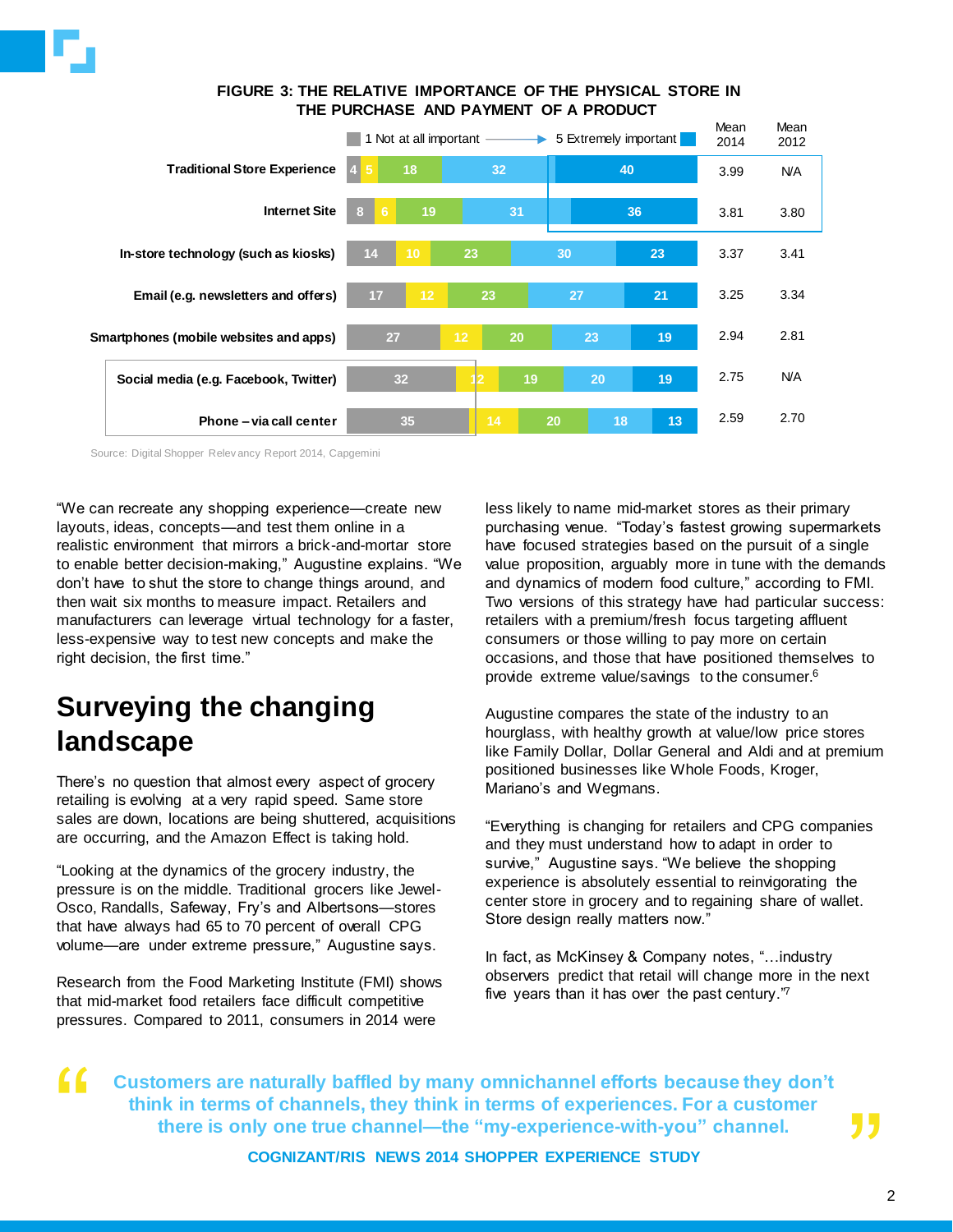

#### **FIGURE 3: THE RELATIVE IMPORTANCE OF THE PHYSICAL STORE IN THE PURCHASE AND PAYMENT OF A PRODUCT**



Source: Digital Shopper Relev ancy Report 2014, Capgemini

"We can recreate any shopping experience—create new layouts, ideas, concepts—and test them online in a realistic environment that mirrors a brick-and-mortar store to enable better decision-making," Augustine explains. "We don't have to shut the store to change things around, and then wait six months to measure impact. Retailers and manufacturers can leverage virtual technology for a faster, less-expensive way to test new concepts and make the right decision, the first time."

## **Surveying the changing landscape**

There's no question that almost every aspect of grocery retailing is evolving at a very rapid speed. Same store sales are down, locations are being shuttered, acquisitions are occurring, and the Amazon Effect is taking hold.

"Looking at the dynamics of the grocery industry, the pressure is on the middle. Traditional grocers like Jewel-Osco, Randalls, Safeway, Fry's and Albertsons—stores that have always had 65 to 70 percent of overall CPG volume—are under extreme pressure," Augustine says.

Research from the Food Marketing Institute (FMI) shows that mid-market food retailers face difficult competitive pressures. Compared to 2011, consumers in 2014 were

less likely to name mid-market stores as their primary purchasing venue. "Today's fastest growing supermarkets have focused strategies based on the pursuit of a single value proposition, arguably more in tune with the demands and dynamics of modern food culture," according to FMI. Two versions of this strategy have had particular success: retailers with a premium/fresh focus targeting affluent consumers or those willing to pay more on certain occasions, and those that have positioned themselves to provide extreme value/savings to the consumer.<sup>6</sup>

Augustine compares the state of the industry to an hourglass, with healthy growth at value/low price stores like Family Dollar, Dollar General and Aldi and at premium positioned businesses like Whole Foods, Kroger, Mariano's and Wegmans.

"Everything is changing for retailers and CPG companies and they must understand how to adapt in order to survive," Augustine says. "We believe the shopping experience is absolutely essential to reinvigorating the center store in grocery and to regaining share of wallet. Store design really matters now."

In fact, as McKinsey & Company notes, "…industry observers predict that retail will change more in the next five years than it has over the past century."<sup>7</sup>

"<br>" **Customers are naturally baffled by many omnichannel efforts because they don't think in terms of channels, they think in terms of experiences. For a customer there is only one true channel—the "my-experience-with-you" channel.**

**COGNIZANT/RIS NEWS 2014 SHOPPER EXPERIENCE STUDY**

,<br>,<br>,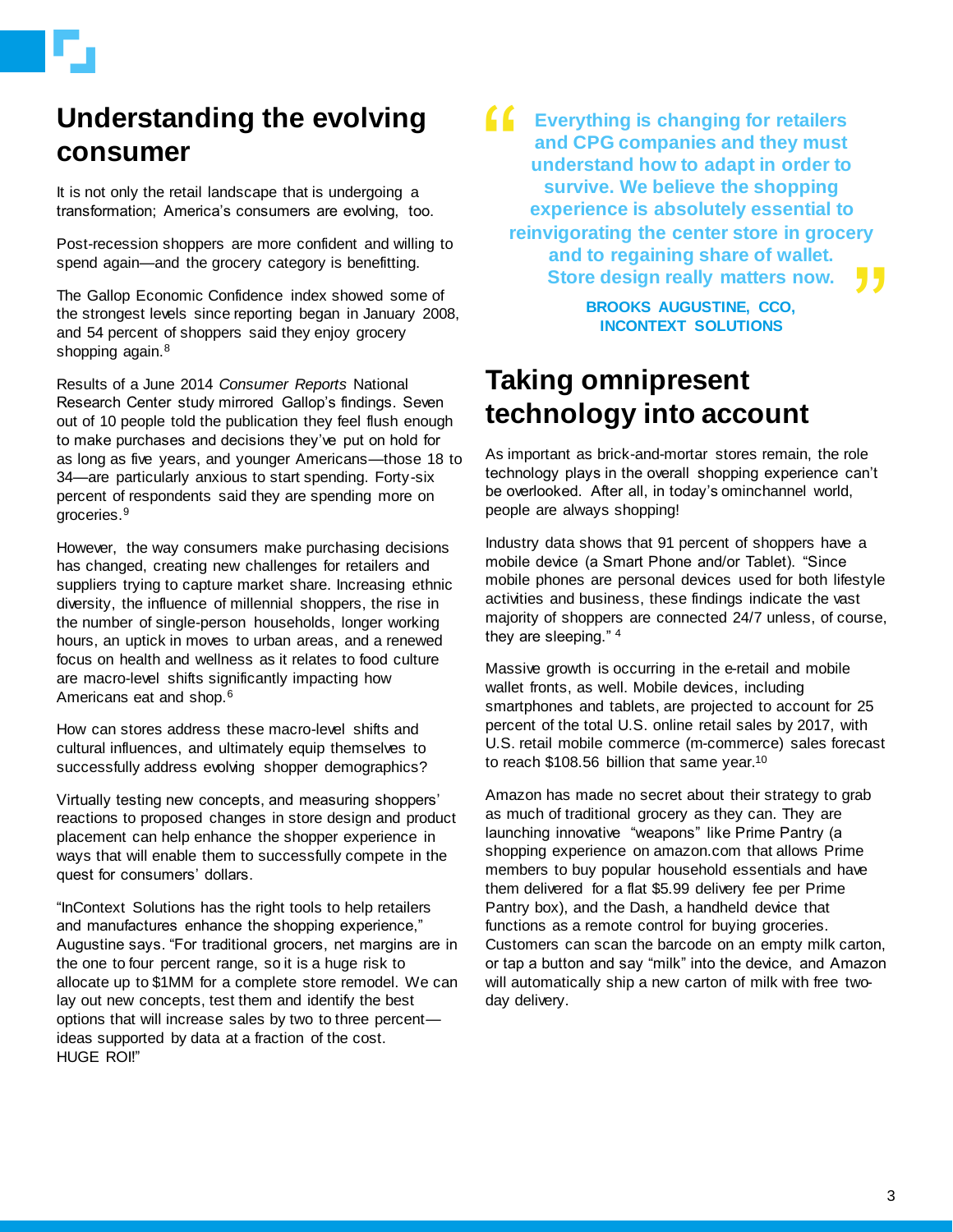## **Understanding the evolving consumer**

It is not only the retail landscape that is undergoing a transformation; America's consumers are evolving, too.

Post-recession shoppers are more confident and willing to spend again—and the grocery category is benefitting.

The Gallop Economic Confidence index showed some of the strongest levels since reporting began in January 2008, and 54 percent of shoppers said they enjoy grocery shopping again.<sup>8</sup>

Results of a June 2014 *Consumer Reports* National Research Center study mirrored Gallop's findings. Seven out of 10 people told the publication they feel flush enough to make purchases and decisions they've put on hold for as long as five years, and younger Americans—those 18 to 34—are particularly anxious to start spending. Forty-six percent of respondents said they are spending more on groceries.<sup>9</sup>

However, the way consumers make purchasing decisions has changed, creating new challenges for retailers and suppliers trying to capture market share. Increasing ethnic diversity, the influence of millennial shoppers, the rise in the number of single-person households, longer working hours, an uptick in moves to urban areas, and a renewed focus on health and wellness as it relates to food culture are macro-level shifts significantly impacting how Americans eat and shop.<sup>6</sup>

How can stores address these macro-level shifts and cultural influences, and ultimately equip themselves to successfully address evolving shopper demographics?

Virtually testing new concepts, and measuring shoppers' reactions to proposed changes in store design and product placement can help enhance the shopper experience in ways that will enable them to successfully compete in the quest for consumers' dollars.

"InContext Solutions has the right tools to help retailers and manufactures enhance the shopping experience," Augustine says. "For traditional grocers, net margins are in the one to four percent range, so it is a huge risk to allocate up to \$1MM for a complete store remodel. We can lay out new concepts, test them and identify the best options that will increase sales by two to three percent ideas supported by data at a fraction of the cost. HUGE ROI!"

"<br>" ry<br>**J J Everything is changing for retailers and CPG companies and they must understand how to adapt in order to survive. We believe the shopping experience is absolutely essential to reinvigorating the center store in grocery and to regaining share of wallet. Store design really matters now.**

> **BROOKS AUGUSTINE, CCO, INCONTEXT SOLUTIONS**

### **Taking omnipresent technology into account**

As important as brick-and-mortar stores remain, the role technology plays in the overall shopping experience can't be overlooked. After all, in today's ominchannel world, people are always shopping!

Industry data shows that 91 percent of shoppers have a mobile device (a Smart Phone and/or Tablet). "Since mobile phones are personal devices used for both lifestyle activities and business, these findings indicate the vast majority of shoppers are connected 24/7 unless, of course, they are sleeping." <sup>4</sup>

Massive growth is occurring in the e-retail and mobile wallet fronts, as well. Mobile devices, including smartphones and tablets, are projected to account for 25 percent of the total U.S. online retail sales by 2017, with U.S. retail mobile commerce (m-commerce) sales forecast to reach \$108.56 billion that same year.<sup>10</sup>

Amazon has made no secret about their strategy to grab as much of traditional grocery as they can. They are launching innovative "weapons" like Prime Pantry (a shopping experience on amazon.com that allows Prime members to buy popular household essentials and have them delivered for a flat \$5.99 delivery fee per Prime Pantry box), and the Dash, a handheld device that functions as a remote control for buying groceries. Customers can scan the barcode on an empty milk carton, or tap a button and say "milk" into the device, and Amazon will automatically ship a new carton of milk with free twoday delivery.